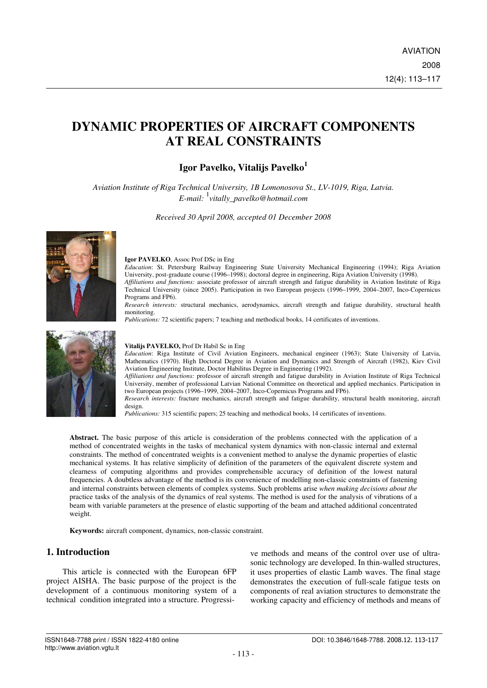# **DYNAMIC PROPERTIES OF AIRCRAFT COMPONENTS AT REAL CONSTRAINTS**

# **Igor Pavelko, Vitalijs Pavelko<sup>1</sup>**

*Aviation Institute of Riga Technical University, 1B Lomonosova St., LV-1019, Riga, Latvia. E-mail:* <sup>1</sup> *vitally\_pavelko@hotmail.com* 

*Received 30 April 2008, accepted 01 December 2008* 



#### **Igor PAVELKO**, Assoc Prof DSc in Eng

*Education*: St. Petersburg Railway Engineering State University Mechanical Engineering (1994); Riga Aviation University, post-graduate course (1996–1998); doctoral degree in engineering, Riga Aviation University (1998). *Affiliations and functions:* associate professor of aircraft strength and fatigue durability in Aviation Institute of Riga Technical University (since 2005). Participation in two European projects (1996–1999, 2004–2007, Inco-Copernicus Programs and FP6).

*Research interests:* structural mechanics, aerodynamics, aircraft strength and fatigue durability, structural health monitoring.

*Publications:* 72 scientific papers; 7 teaching and methodical books, 14 certificates of inventions.



#### **Vitalijs PAVELKO,** Prof Dr Habil Sc in Eng

*Education*: Riga Institute of Civil Aviation Engineers, mechanical engineer (1963); State University of Latvia, Mathematics (1970). High Doctoral Degree in Aviation and Dynamics and Strength of Aircraft (1982), Kiev Civil Aviation Engineering Institute, Doctor Habilitus Degree in Engineering (1992).

*Affiliations and functions:* professor of aircraft strength and fatigue durability in Aviation Institute of Riga Technical University, member of professional Latvian National Committee on theoretical and applied mechanics. Participation in two European projects (1996–1999, 2004–2007, Inco-Copernicus Programs and FP6).

*Research interests:* fracture mechanics, aircraft strength and fatigue durability, structural health monitoring, aircraft design.

*Publications:* 315 scientific papers; 25 teaching and methodical books, 14 certificates of inventions.

**Abstract.** The basic purpose of this article is consideration of the problems connected with the application of a method of concentrated weights in the tasks of mechanical system dynamics with non-classic internal and external constraints. The method of concentrated weights is a convenient method to analyse the dynamic properties of elastic mechanical systems. It has relative simplicity of definition of the parameters of the equivalent discrete system and clearness of computing algorithms and provides comprehensible accuracy of definition of the lowest natural frequencies. A doubtless advantage of the method is its convenience of modelling non-classic constraints of fastening and internal constraints between elements of complex systems. Such problems arise *when making decisions about the* practice tasks of the analysis of the dynamics of real systems. The method is used for the analysis of vibrations of a beam with variable parameters at the presence of elastic supporting of the beam and attached additional concentrated weight.

**Keywords:** aircraft component, dynamics, non-classic constraint.

## **1. Introduction**

This article is connected with the European 6FP project AISHA. The basic purpose of the project is the development of a continuous monitoring system of a technical condition integrated into a structure. Progressive methods and means of the control over use of ultrasonic technology are developed. In thin-walled structures, it uses properties of elastic Lamb waves. The final stage demonstrates the execution of full-scale fatigue tests on components of real aviation structures to demonstrate the working capacity and efficiency of methods and means of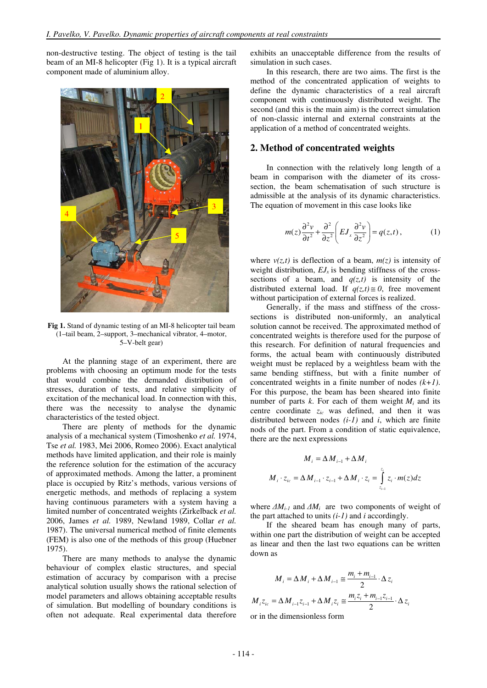non-destructive testing. The object of testing is the tail beam of an MI-8 helicopter (Fig 1). It is a typical aircraft component made of aluminium alloy.



**Fig 1.** Stand of dynamic testing of an MI-8 helicopter tail beam (1–tail beam, 2–support, 3–mechanical vibrator, 4–motor, 5–V-belt gear)

At the planning stage of an experiment, there are problems with choosing an optimum mode for the tests that would combine the demanded distribution of stresses, duration of tests, and relative simplicity of excitation of the mechanical load. In connection with this, there was the necessity to analyse the dynamic characteristics of the tested object.

There are plenty of methods for the dynamic analysis of a mechanical system (Timoshenko *et al.* 1974, Tse *et al.* 1983, Mei 2006, Romeo 2006). Exact analytical methods have limited application, and their role is mainly the reference solution for the estimation of the accuracy of approximated methods. Among the latter, a prominent place is occupied by Ritz's methods, various versions of energetic methods, and methods of replacing a system having continuous parameters with a system having a limited number of concentrated weights (Zirkelback *et al.* 2006, James *et al.* 1989, Newland 1989, Collar *et al.* 1987). The universal numerical method of finite elements (FEM) is also one of the methods of this group (Huebner 1975).

There are many methods to analyse the dynamic behaviour of complex elastic structures, and special estimation of accuracy by comparison with a precise analytical solution usually shows the rational selection of model parameters and allows obtaining acceptable results of simulation. But modelling of boundary conditions is often not adequate. Real experimental data therefore

exhibits an unacceptable difference from the results of simulation in such cases.

In this research, there are two aims. The first is the method of the concentrated application of weights to define the dynamic characteristics of a real aircraft component with continuously distributed weight. The second (and this is the main aim) is the correct simulation of non-classic internal and external constraints at the application of a method of concentrated weights.

#### **2. Method of concentrated weights**

In connection with the relatively long length of a beam in comparison with the diameter of its crosssection, the beam schematisation of such structure is admissible at the analysis of its dynamic characteristics. The equation of movement in this case looks like

$$
m(z)\frac{\partial^2 v}{\partial t^2} + \frac{\partial^2}{\partial z^2} \left( EJ_x \frac{\partial^2 v}{\partial z^2} \right) = q(z,t), \qquad (1)
$$

where  $v(z,t)$  is deflection of a beam,  $m(z)$  is intensity of weight distribution,  $EJ_x$  is bending stiffness of the crosssections of a beam, and  $q(z,t)$  is intensity of the distributed external load. If  $q(z,t) \equiv 0$ , free movement without participation of external forces is realized.

Generally, if the mass and stiffness of the crosssections is distributed non-uniformly, an analytical solution cannot be received. The approximated method of concentrated weights is therefore used for the purpose of this research. For definition of natural frequencies and forms, the actual beam with continuously distributed weight must be replaced by a weightless beam with the same bending stiffness, but with a finite number of concentrated weights in a finite number of nodes *(k+1)*. For this purpose, the beam has been sheared into finite number of parts  $k$ . For each of them weight  $M_i$  and its centre coordinate *zic* was defined, and then it was distributed between nodes *(i-1)* and *i*, which are finite nods of the part. From a condition of static equivalence, there are the next expressions

$$
M_{i} = \Delta M_{i-1} + \Delta M_{i}
$$
  

$$
M_{i} \cdot z_{ic} = \Delta M_{i-1} \cdot z_{i-1} + \Delta M_{i} \cdot z_{i} = \int_{z_{i-1}}^{z_{i}} z_{i} \cdot m(z) dz
$$

where ∆*Mi-1* and ∆*Mi* are two components of weight of the part attached to units *(i-1)* and *i* accordingly.

If the sheared beam has enough many of parts, within one part the distribution of weight can be accepted as linear and then the last two equations can be written down as

$$
M_{i} = \Delta M_{i} + \Delta M_{i-1} \approx \frac{m_{i} + m_{i-1}}{2} \cdot \Delta z_{i}
$$
  

$$
M_{i} z_{ic} = \Delta M_{i-1} z_{i-1} + \Delta M_{i} z_{i} \approx \frac{m_{i} z_{i} + m_{i-1} z_{i-1}}{2} \cdot \Delta z_{i}
$$

or in the dimensionless form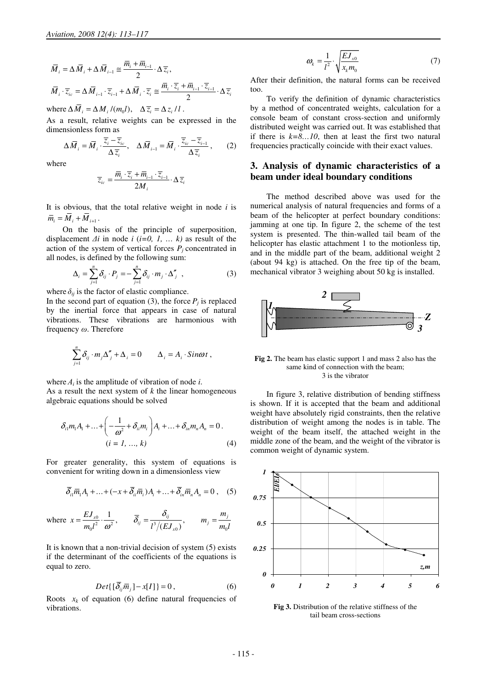$$
\overline{M}_{i} = \Delta \overline{M}_{i} + \Delta \overline{M}_{i-1} \cong \frac{\overline{m}_{i} + \overline{m}_{i-1}}{2} \cdot \Delta \overline{z}_{i},
$$
\n
$$
\overline{M}_{i} \cdot \overline{z}_{ic} = \Delta \overline{M}_{i-1} \cdot \overline{z}_{i-1} + \Delta \overline{M}_{i} \cdot \overline{z}_{i} \cong \frac{\overline{m}_{i} \cdot \overline{z}_{i} + \overline{m}_{i-1} \cdot \overline{z}_{i-1}}{2} \cdot \Delta \overline{z}_{i}.
$$

where  $\Delta M_i = \Delta M_i / (m_0 l), \quad \Delta \overline{z}_i = \Delta z_i / l$ .

As a result, relative weights can be expressed in the dimensionless form as

$$
\Delta \overline{M}_i = \overline{M}_i \cdot \frac{\overline{z}_i - \overline{z}_{ic}}{\Delta \overline{z}_i}, \quad \Delta \overline{M}_{i-1} = \overline{M}_i \cdot \frac{\overline{z}_{ic} - \overline{z}_{i-1}}{\Delta \overline{z}_i}, \qquad (2)
$$

where

$$
\overline{z}_{ic} = \frac{\overline{m}_{i} \cdot \overline{z}_{i} + \overline{m}_{i-1} \cdot \overline{z}_{i-1}}{2M_{i}} \cdot \Delta \overline{z}_{i}
$$

It is obvious, that the total relative weight in node *i* is  $\overline{m}_{i} = \overline{M}_{i} + \overline{M}_{i+1}$ .

On the basis of the principle of superposition, displacement ∆*i* in node *i* (*i=0, 1, … k)* as result of the action of the system of vertical forces  $P_j$  concentrated in all nodes, is defined by the following sum:

$$
\Delta_i = \sum_{j=1}^n \delta_{ij} \cdot P_j = -\sum_{j=1}^n \delta_{ij} \cdot m_j \cdot \Delta_j'', \qquad (3)
$$

where  $\delta_{ij}$  is the factor of elastic compliance.

In the second part of equation (3), the force  $P_j$  is replaced by the inertial force that appears in case of natural vibrations. These vibrations are harmonious with frequency ω. Therefore

$$
\sum_{j=1}^n \delta_{ij} \cdot m_j \Delta_j'' + \Delta_i = 0 \qquad \Delta_i = A_i \cdot \text{Sin} \omega t ,
$$

where  $A_i$  is the amplitude of vibration of node *i*.

As a result the next system of *k* the linear homogeneous algebraic equations should be solved

$$
\delta_{i1}m_{1}A_{1} + ... + \left(-\frac{1}{\omega^{2}} + \delta_{i1}m_{i}\right)A_{i} + ... + \delta_{in}m_{n}A_{n} = 0.
$$
\n
$$
(i = 1, ..., k)
$$
\n(4)

For greater generality, this system of equations is convenient for writing down in a dimensionless view

$$
\overline{\delta}_{ii}\overline{m}_1A_1 + \dots + (-x + \overline{\delta}_{ii}\overline{m}_i)A_i + \dots + \overline{\delta}_{in}\overline{m}_nA_n = 0 , \quad (5)
$$

where 
$$
x = \frac{E J_{x0}}{m_0 l^2} \cdot \frac{1}{\omega^2}
$$
,  $\overline{\delta}_{ij} = \frac{\delta_{ij}}{l^3/(E J_{x0})}$ ,  $m_j = \frac{m_j}{m_0 l}$ 

It is known that a non-trivial decision of system (5) exists if the determinant of the coefficients of the equations is equal to zero.

$$
Det\{[\overline{\delta}_{ij}\overline{m}_j] - x[I]\} = 0, \qquad (6)
$$

Roots  $x_k$  of equation (6) define natural frequencies of vibrations.

$$
\omega_k = \frac{1}{l^2} \cdot \sqrt{\frac{EJ_{x0}}{x_k m_0}}\tag{7}
$$

After their definition, the natural forms can be received too.

To verify the definition of dynamic characteristics by a method of concentrated weights, calculation for a console beam of constant cross-section and uniformly distributed weight was carried out. It was established that if there is  $k=8...10$ , then at least the first two natural frequencies practically coincide with their exact values.

### **3. Analysis of dynamic characteristics of a beam under ideal boundary conditions**

The method described above was used for the numerical analysis of natural frequencies and forms of a beam of the helicopter at perfect boundary conditions: jamming at one tip. In figure 2, the scheme of the test system is presented. The thin-walled tail beam of the helicopter has elastic attachment 1 to the motionless tip, and in the middle part of the beam, additional weight 2 (about 94 kg) is attached. On the free tip of the beam, mechanical vibrator 3 weighing about 50 kg is installed.



**Fig 2.** The beam has elastic support 1 and mass 2 also has the same kind of connection with the beam; 3 is the vibrator

In figure 3, relative distribution of bending stiffness is shown. If it is accepted that the beam and additional weight have absolutely rigid constraints, then the relative distribution of weight among the nodes is in table. The weight of the beam itself, the attached weight in the middle zone of the beam, and the weight of the vibrator is common weight of dynamic system.



**Fig 3.** Distribution of the relative stiffness of the tail beam cross-sections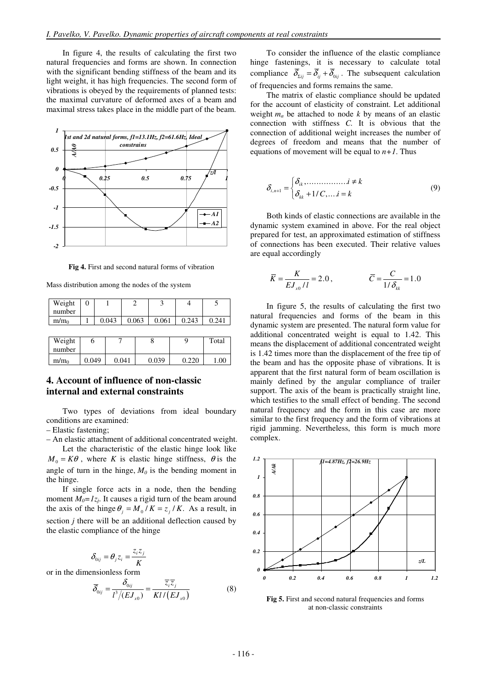In figure 4, the results of calculating the first two natural frequencies and forms are shown. In connection with the significant bending stiffness of the beam and its light weight, it has high frequencies. The second form of vibrations is obeyed by the requirements of planned tests: the maximal curvature of deformed axes of a beam and maximal stress takes place in the middle part of the beam.



**Fig 4.** First and second natural forms of vibration

Mass distribution among the nodes of the system

| Weight           | 0     |   |       |  |       | 3     |  |       |       |
|------------------|-------|---|-------|--|-------|-------|--|-------|-------|
| number           |       |   |       |  |       |       |  |       |       |
| m/m <sub>0</sub> |       |   | 0.043 |  | 0.063 | 0.061 |  | 0.243 | 0.241 |
|                  |       |   |       |  |       |       |  |       |       |
| Weight           |       | 6 |       |  |       |       |  |       | Total |
| number           |       |   |       |  |       |       |  |       |       |
| m/m <sub>0</sub> | 0.049 |   | 0.041 |  | 0.039 |       |  | 0.220 | 1.00  |

## **4. Account of influence of non-classic internal and external constraints**

Two types of deviations from ideal boundary conditions are examined:

– Elastic fastening;

– An elastic attachment of additional concentrated weight.

Let the characteristic of the elastic hinge look like  $M_0 = K\theta$ , where *K* is elastic hinge stiffness,  $\theta$  is the angle of turn in the hinge,  $M_0$  is the bending moment in the hinge.

If single force acts in a node, then the bending moment  $M_0 = I_{z_j}$ . It causes a rigid turn of the beam around the axis of the hinge  $\theta_j = M_0 / K = z_j / K$ . As a result, in section *j* there will be an additional deflection caused by the elastic compliance of the hinge

$$
\delta_{0ij} = \theta_j z_i = \frac{z_i z_j}{K}
$$

or in the dimensionless form

$$
\overline{\delta}_{0ij} = \frac{\delta_{0ij}}{l^3/(EJ_{x0})} = \frac{\overline{z}_i \overline{z}_j}{Kl/(EJ_{x0})}
$$
(8)

To consider the influence of the elastic compliance hinge fastenings, it is necessary to calculate total compliance  $\overline{\delta}_{\Sigma ii} = \overline{\delta}_{ii} + \overline{\delta}_{0ii}$ . The subsequent calculation of frequencies and forms remains the same.

The matrix of elastic compliance should be updated for the account of elasticity of constraint. Let additional weight *ma* be attached to node *k* by means of an elastic connection with stiffness *C.* It is obvious that the connection of additional weight increases the number of degrees of freedom and means that the number of equations of movement will be equal to  $n+1$ . Thus

$$
\delta_{i,n+1} = \begin{cases} \delta_{ik}, \dots, \dots, i \neq k \\ \delta_{kk} + 1/C, \dots, i = k \end{cases}
$$
 (9)

Both kinds of elastic connections are available in the dynamic system examined in above. For the real object prepared for test, an approximated estimation of stiffness of connections has been executed. Their relative values are equal accordingly

$$
\overline{K} = \frac{K}{E J_{x0} / l} = 2.0, \qquad \qquad \overline{C} = \frac{C}{1 / \delta_{kk}} = 1.0
$$

In figure 5, the results of calculating the first two natural frequencies and forms of the beam in this dynamic system are presented. The natural form value for additional concentrated weight is equal to 1.42. This means the displacement of additional concentrated weight is 1.42 times more than the displacement of the free tip of the beam and has the opposite phase of vibrations. It is apparent that the first natural form of beam oscillation is mainly defined by the angular compliance of trailer support. The axis of the beam is practically straight line, which testifies to the small effect of bending. The second natural frequency and the form in this case are more similar to the first frequency and the form of vibrations at rigid jamming. Nevertheless, this form is much more complex.



Fig 5. First and second natural frequencies and forms at non-classic constraints